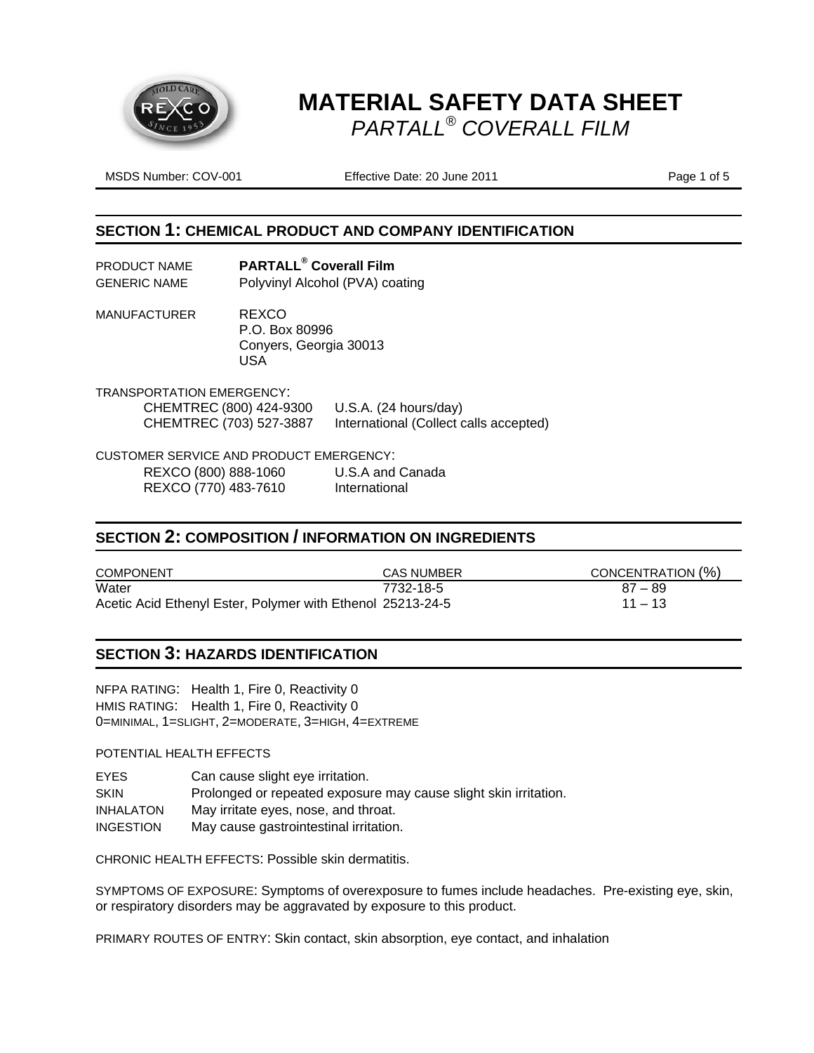

MSDS Number: COV-001 **Effective Date: 20 June 2011** Page 1 of 5

#### **SECTION 1: CHEMICAL PRODUCT AND COMPANY IDENTIFICATION**

| PRODUCT NAME        | <b>PARTALL<sup>®</sup> Coverall Film</b> |
|---------------------|------------------------------------------|
| <b>GENERIC NAME</b> | Polyvinyl Alcohol (PVA) coating          |

MANUFACTURER REXCO P.O. Box 80996 Conyers, Georgia 30013 USA

TRANSPORTATION EMERGENCY: CHEMTREC (800) 424-9300 U.S.A. (24 hours/day) CHEMTREC (703) 527-3887 International (Collect calls accepted)

CUSTOMER SERVICE AND PRODUCT EMERGENCY:

REXCO (800) 888-1060 U.S.A and Canada REXCO (770) 483-7610 International

#### **SECTION 2: COMPOSITION / INFORMATION ON INGREDIENTS**

| <b>COMPONENT</b>                                           | <b>CAS NUMBER</b> | CONCENTRATION (%) |
|------------------------------------------------------------|-------------------|-------------------|
| Water                                                      | 7732-18-5         | $87 - 89$         |
| Acetic Acid Ethenyl Ester, Polymer with Ethenol 25213-24-5 |                   | $11 - 13$         |

#### **SECTION 3: HAZARDS IDENTIFICATION**

NFPA RATING: Health 1, Fire 0, Reactivity 0 HMIS RATING: Health 1, Fire 0, Reactivity 0 0=MINIMAL, 1=SLIGHT, 2=MODERATE, 3=HIGH, 4=EXTREME

POTENTIAL HEALTH EFFECTS

EYES Can cause slight eye irritation. SKIN Prolonged or repeated exposure may cause slight skin irritation. INHALATON May irritate eyes, nose, and throat. INGESTION May cause gastrointestinal irritation.

CHRONIC HEALTH EFFECTS: Possible skin dermatitis.

SYMPTOMS OF EXPOSURE: Symptoms of overexposure to fumes include headaches. Pre-existing eye, skin, or respiratory disorders may be aggravated by exposure to this product.

PRIMARY ROUTES OF ENTRY: Skin contact, skin absorption, eye contact, and inhalation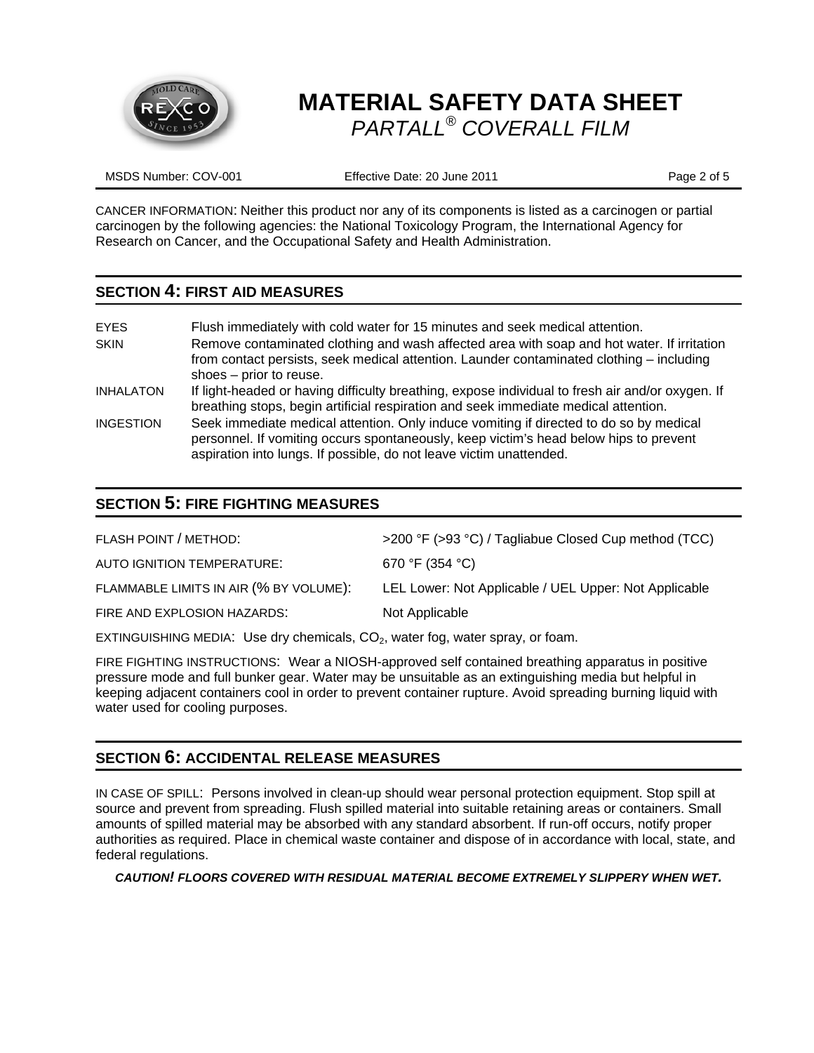

MSDS Number: COV-001 **Effective Date: 20 June 2011** Page 2 of 5

CANCER INFORMATION: Neither this product nor any of its components is listed as a carcinogen or partial carcinogen by the following agencies: the National Toxicology Program, the International Agency for Research on Cancer, and the Occupational Safety and Health Administration.

#### **SECTION 4: FIRST AID MEASURES**

| <b>EYES</b><br><b>SKIN</b> | Flush immediately with cold water for 15 minutes and seek medical attention.<br>Remove contaminated clothing and wash affected area with soap and hot water. If irritation<br>from contact persists, seek medical attention. Launder contaminated clothing - including<br>shoes – prior to reuse. |
|----------------------------|---------------------------------------------------------------------------------------------------------------------------------------------------------------------------------------------------------------------------------------------------------------------------------------------------|
| <b>INHALATON</b>           | If light-headed or having difficulty breathing, expose individual to fresh air and/or oxygen. If<br>breathing stops, begin artificial respiration and seek immediate medical attention.                                                                                                           |
| <b>INGESTION</b>           | Seek immediate medical attention. Only induce vomiting if directed to do so by medical<br>personnel. If vomiting occurs spontaneously, keep victim's head below hips to prevent<br>aspiration into lungs. If possible, do not leave victim unattended.                                            |

# **SECTION 5: FIRE FIGHTING MEASURES**

| FLASH POINT / METHOD:                  | >200 °F (>93 °C) / Tagliabue Closed Cup method (TCC)  |
|----------------------------------------|-------------------------------------------------------|
| AUTO IGNITION TEMPERATURE:             | 670 °F (354 °C)                                       |
| FLAMMABLE LIMITS IN AIR (% BY VOLUME): | LEL Lower: Not Applicable / UEL Upper: Not Applicable |
| FIRE AND EXPLOSION HAZARDS:            | Not Applicable                                        |
|                                        |                                                       |

EXTINGUISHING MEDIA: Use dry chemicals,  $CO<sub>2</sub>$ , water fog, water spray, or foam.

FIRE FIGHTING INSTRUCTIONS: Wear a NIOSH-approved self contained breathing apparatus in positive pressure mode and full bunker gear. Water may be unsuitable as an extinguishing media but helpful in keeping adjacent containers cool in order to prevent container rupture. Avoid spreading burning liquid with water used for cooling purposes.

### **SECTION 6: ACCIDENTAL RELEASE MEASURES**

IN CASE OF SPILL: Persons involved in clean-up should wear personal protection equipment. Stop spill at source and prevent from spreading. Flush spilled material into suitable retaining areas or containers. Small amounts of spilled material may be absorbed with any standard absorbent. If run-off occurs, notify proper authorities as required. Place in chemical waste container and dispose of in accordance with local, state, and federal regulations.

#### *CAUTION! FLOORS COVERED WITH RESIDUAL MATERIAL BECOME EXTREMELY SLIPPERY WHEN WET.*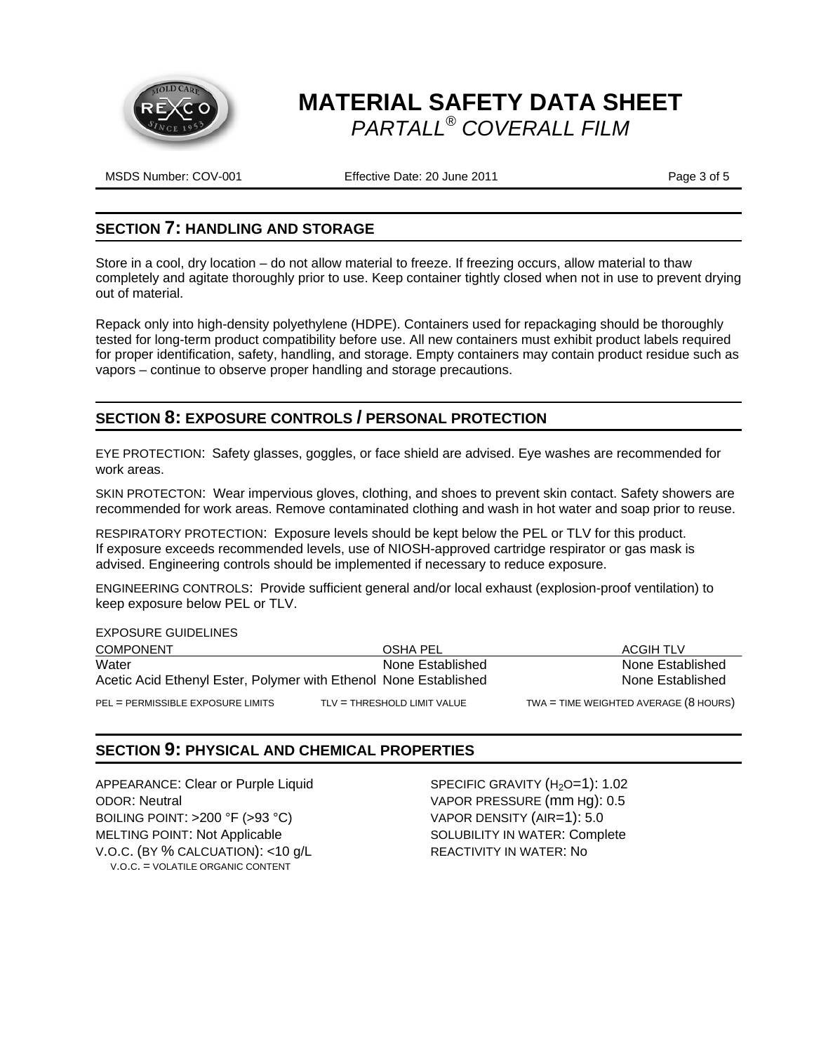

MSDS Number: COV-001 **Effective Date: 20 June 2011 Page 3 of 5** 

#### **SECTION 7: HANDLING AND STORAGE**

Store in a cool, dry location – do not allow material to freeze. If freezing occurs, allow material to thaw completely and agitate thoroughly prior to use. Keep container tightly closed when not in use to prevent drying out of material.

Repack only into high-density polyethylene (HDPE). Containers used for repackaging should be thoroughly tested for long-term product compatibility before use. All new containers must exhibit product labels required for proper identification, safety, handling, and storage. Empty containers may contain product residue such as vapors – continue to observe proper handling and storage precautions.

### **SECTION 8: EXPOSURE CONTROLS / PERSONAL PROTECTION**

EYE PROTECTION: Safety glasses, goggles, or face shield are advised. Eye washes are recommended for work areas.

SKIN PROTECTON: Wear impervious gloves, clothing, and shoes to prevent skin contact. Safety showers are recommended for work areas. Remove contaminated clothing and wash in hot water and soap prior to reuse.

RESPIRATORY PROTECTION: Exposure levels should be kept below the PEL or TLV for this product. If exposure exceeds recommended levels, use of NIOSH-approved cartridge respirator or gas mask is advised. Engineering controls should be implemented if necessary to reduce exposure.

ENGINEERING CONTROLS: Provide sufficient general and/or local exhaust (explosion-proof ventilation) to keep exposure below PEL or TLV.

| <b>EXPOSURE GUIDELINES</b>                                       |                             |                                               |
|------------------------------------------------------------------|-----------------------------|-----------------------------------------------|
| <b>COMPONENT</b>                                                 | OSHA PEL                    | ACGIH TLV                                     |
| Water                                                            | None Established            | None Established                              |
| Acetic Acid Ethenyl Ester, Polymer with Ethenol None Established |                             | None Established                              |
| PEL = PERMISSIBLE EXPOSURE LIMITS                                | TLV = THRESHOLD LIMIT VALUE | TWA = TIME WEIGHTED AVERAGE $(8 \text{ HOL})$ |

### **SECTION 9: PHYSICAL AND CHEMICAL PROPERTIES**

APPEARANCE: Clear or Purple Liquid SPECIFIC GRAVITY (H<sub>2</sub>O=1): 1.02 ODOR: Neutral VAPOR PRESSURE (mm Hg): 0.5 BOILING POINT: >200 °F (>93 °C) VAPOR DENSITY (AIR=1): 5.0 MELTING POINT: Not Applicable SOLUBILITY IN WATER: Complete V.O.C. (BY % CALCUATION): <10 g/L REACTIVITY IN WATER: No V.O.C. = VOLATILE ORGANIC CONTENT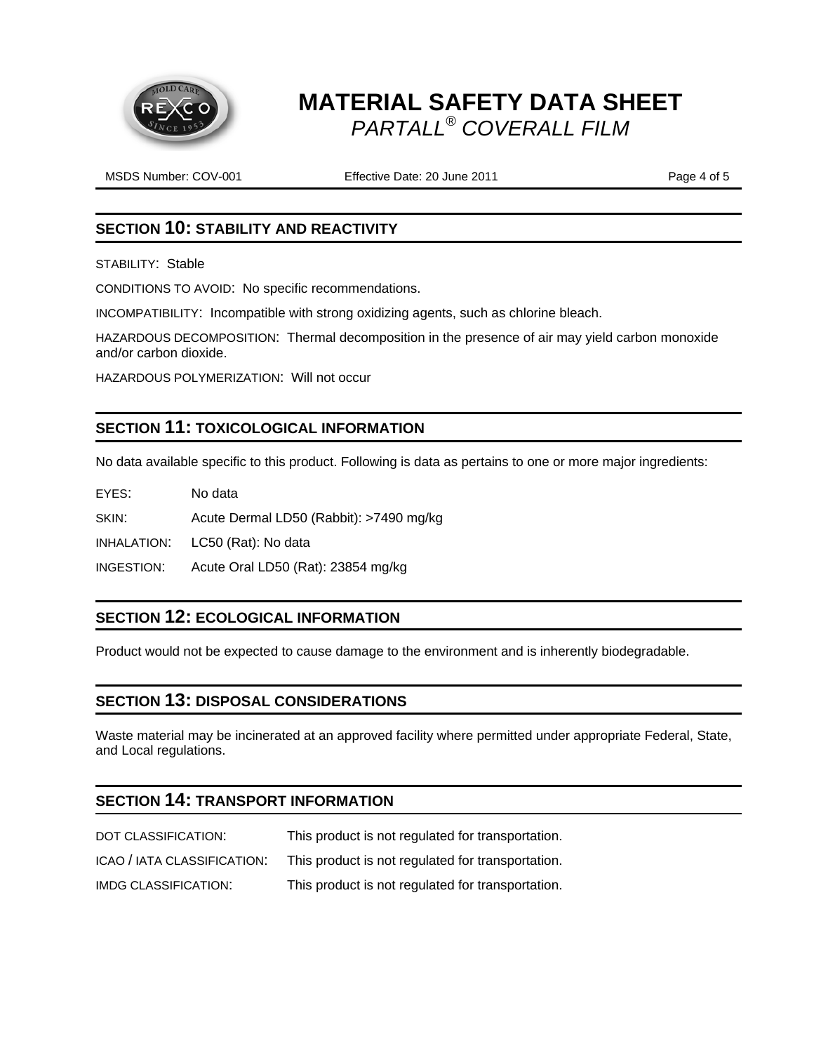

MSDS Number: COV-001 **Effective Date: 20 June 2011** Page 4 of 5

## **SECTION 10: STABILITY AND REACTIVITY**

STABILITY: Stable

CONDITIONS TO AVOID: No specific recommendations.

INCOMPATIBILITY: Incompatible with strong oxidizing agents, such as chlorine bleach.

HAZARDOUS DECOMPOSITION: Thermal decomposition in the presence of air may yield carbon monoxide and/or carbon dioxide.

HAZARDOUS POLYMERIZATION: Will not occur

### **SECTION 11: TOXICOLOGICAL INFORMATION**

No data available specific to this product. Following is data as pertains to one or more major ingredients:

EYES: No data

SKIN: Acute Dermal LD50 (Rabbit): >7490 mg/kg

INHALATION: LC50 (Rat): No data

INGESTION: Acute Oral LD50 (Rat): 23854 mg/kg

### **SECTION 12: ECOLOGICAL INFORMATION**

Product would not be expected to cause damage to the environment and is inherently biodegradable.

### **SECTION 13: DISPOSAL CONSIDERATIONS**

Waste material may be incinerated at an approved facility where permitted under appropriate Federal, State, and Local regulations.

### **SECTION 14: TRANSPORT INFORMATION**

| DOT CLASSIFICATION:         | This product is not regulated for transportation. |
|-----------------------------|---------------------------------------------------|
| ICAO / IATA CLASSIFICATION: | This product is not regulated for transportation. |
| IMDG CLASSIFICATION:        | This product is not regulated for transportation. |